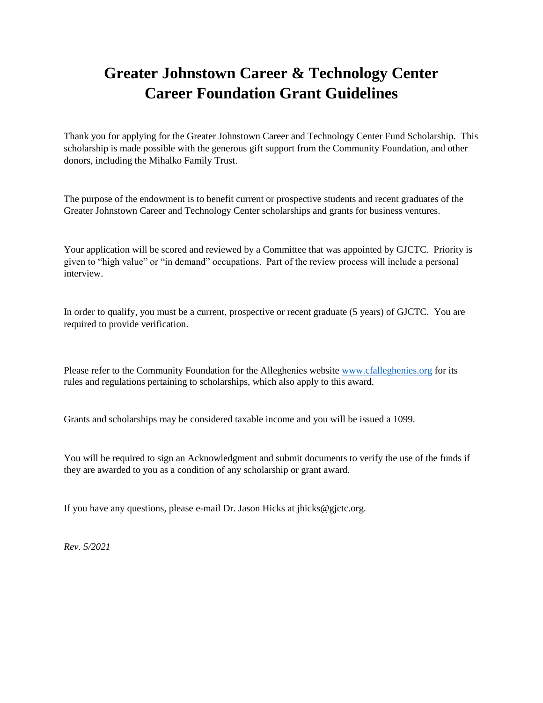## **Greater Johnstown Career & Technology Center Career Foundation Grant Guidelines**

Thank you for applying for the Greater Johnstown Career and Technology Center Fund Scholarship. This scholarship is made possible with the generous gift support from the Community Foundation, and other donors, including the Mihalko Family Trust.

The purpose of the endowment is to benefit current or prospective students and recent graduates of the Greater Johnstown Career and Technology Center scholarships and grants for business ventures.

Your application will be scored and reviewed by a Committee that was appointed by GJCTC. Priority is given to "high value" or "in demand" occupations. Part of the review process will include a personal interview.

In order to qualify, you must be a current, prospective or recent graduate (5 years) of GJCTC. You are required to provide verification.

Please refer to the Community Foundation for the Alleghenies website [www.cfalleghenies.org](http://www.cfalleghenies.org/) for its rules and regulations pertaining to scholarships, which also apply to this award.

Grants and scholarships may be considered taxable income and you will be issued a 1099.

You will be required to sign an Acknowledgment and submit documents to verify the use of the funds if they are awarded to you as a condition of any scholarship or grant award.

If you have any questions, please e-mail Dr. Jason Hicks at jhicks@gjctc.org.

*Rev. 5/2021*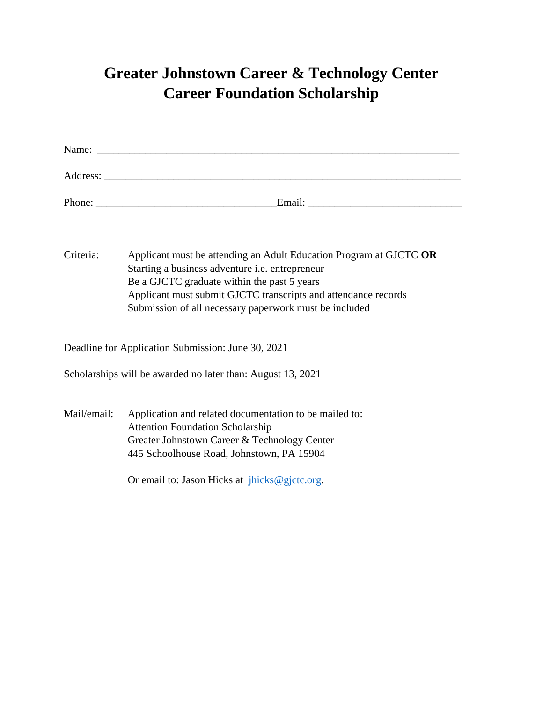## **Greater Johnstown Career & Technology Center Career Foundation Scholarship**

| Criteria:   | Applicant must be attending an Adult Education Program at GJCTC OR<br>Starting a business adventure i.e. entrepreneur<br>Be a GJCTC graduate within the past 5 years<br>Applicant must submit GJCTC transcripts and attendance records<br>Submission of all necessary paperwork must be included |
|-------------|--------------------------------------------------------------------------------------------------------------------------------------------------------------------------------------------------------------------------------------------------------------------------------------------------|
|             | Deadline for Application Submission: June 30, 2021                                                                                                                                                                                                                                               |
|             | Scholarships will be awarded no later than: August 13, 2021                                                                                                                                                                                                                                      |
| Mail/email: | Application and related documentation to be mailed to:<br><b>Attention Foundation Scholarship</b><br>Greater Johnstown Career & Technology Center<br>445 Schoolhouse Road, Johnstown, PA 15904<br>Or email to: Jason Hicks at $jhicks@gjctc.org$ .                                               |
|             |                                                                                                                                                                                                                                                                                                  |